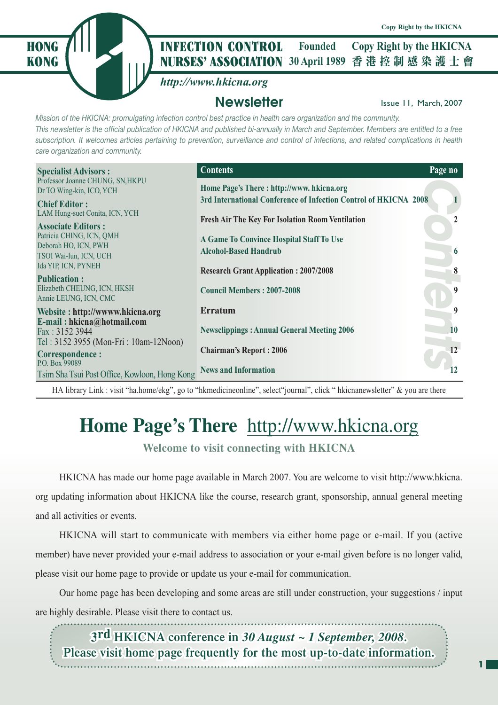

#### **NURSES' ASSOCIATION** 30 April 1989 香港控制感染護士會 **HONG** *I* III **INFECTION CONTROL** Founded Copy Right by the HKICNA **Founded**

# *http://www.hkicna.org*

# **Newsletter Issue 11, March, 2007**

*Mission of the HKICNA: promulgating infection control best practice in health care organization and the community. This newsletter is the official publication of HKICNA and published bi-annually in March and September. Members are entitled to a free subscription. It welcomes articles pertaining to prevention, surveillance and control of infections, and related complications in health care organization and community.*

| <b>Specialist Advisors:</b>                                     | <b>Contents</b>                                                  | Page no |
|-----------------------------------------------------------------|------------------------------------------------------------------|---------|
| Professor Joanne CHUNG, SN, HKPU<br>Dr TO Wing-kin, ICO, YCH    | Home Page's There: http://www. hkicna.org                        |         |
| <b>Chief Editor:</b>                                            | 3rd International Conference of Infection Control of HKICNA 2008 |         |
| LAM Hung-suet Conita, ICN, YCH<br><b>Associate Editors:</b>     | <b>Fresh Air The Key For Isolation Room Ventilation</b>          |         |
| Patricia CHING, ICN, QMH<br>Deborah HO, ICN, PWH                | A Game To Convince Hospital Staff To Use                         |         |
| TSOI Wai-lun, ICN, UCH                                          | <b>Alcohol-Based Handrub</b>                                     | 6       |
| Ida YIP, ICN, PYNEH<br><b>Publication:</b>                      | <b>Research Grant Application: 2007/2008</b>                     | 8       |
| Elizabeth CHEUNG, ICN, HKSH<br>Annie LEUNG, ICN, CMC            | <b>Council Members: 2007-2008</b>                                | 9       |
| Website: http://www.hkicna.org                                  | <b>Erratum</b>                                                   | 9       |
| E-mail: hkicna@hotmail.com<br>Fax: 3152 3944                    | <b>Newsclippings: Annual General Meeting 2006</b>                | 10      |
| Tel: 3152 3955 (Mon-Fri: 10am-12Noon)<br><b>Correspondence:</b> | <b>Chairman's Report: 2006</b>                                   | 12      |
| P.O. Box 99089<br>Tsim Sha Tsui Post Office, Kowloon, Hong Kong | <b>News and Information</b>                                      | 12      |

HA library Link : visit "ha.home/ekg", go to "hkmedicineonline", select"journal", click " hkicnanewsletter" & you are there

# **Home Page's There** http://www.hkicna.org

**Welcome to visit connecting with HKICNA**

HKICNA has made our home page available in March 2007. You are welcome to visit http://www.hkicna. org updating information about HKICNA like the course, research grant, sponsorship, annual general meeting and all activities or events.

HKICNA will start to communicate with members via either home page or e-mail. If you (active member) have never provided your e-mail address to association or your e-mail given before is no longer valid, please visit our home page to provide or update us your e-mail for communication.

Our home page has been developing and some areas are still under construction, your suggestions / input are highly desirable. Please visit there to contact us. 

**3rd HKICNA** conference in  $30$  *August ~ 1 September, 2008.* Please visit home page frequently for the most up-to-date information.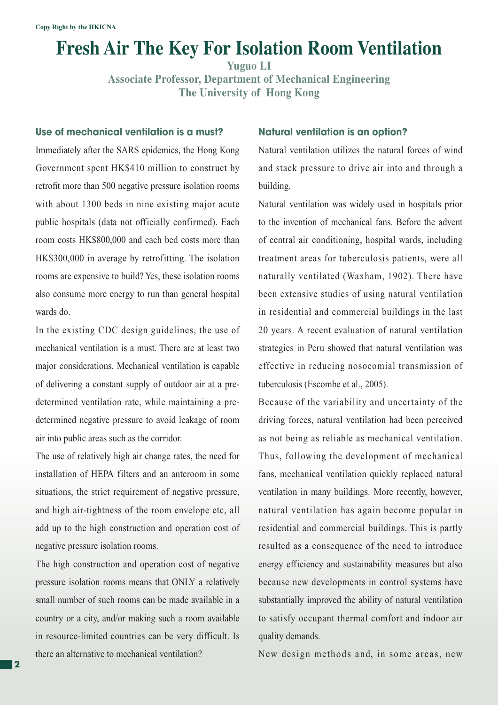# **Fresh Air The Key For Isolation Room Ventilation**

**Yuguo LI**

**Associate Professor, Department of Mechanical Engineering The University of Hong Kong**

#### **Use of mechanical ventilation is a must?**

Immediately after the SARS epidemics, the Hong Kong Government spent HK\$410 million to construct by retrofit more than 500 negative pressure isolation rooms with about 1300 beds in nine existing major acute public hospitals (data not officially confirmed). Each room costs HK\$800,000 and each bed costs more than HK\$300,000 in average by retrofitting. The isolation rooms are expensive to build? Yes, these isolation rooms also consume more energy to run than general hospital wards do.

In the existing CDC design guidelines, the use of mechanical ventilation is a must. There are at least two major considerations. Mechanical ventilation is capable of delivering a constant supply of outdoor air at a predetermined ventilation rate, while maintaining a predetermined negative pressure to avoid leakage of room air into public areas such as the corridor.

The use of relatively high air change rates, the need for installation of HEPA filters and an anteroom in some situations, the strict requirement of negative pressure, and high air-tightness of the room envelope etc, all add up to the high construction and operation cost of negative pressure isolation rooms.

The high construction and operation cost of negative pressure isolation rooms means that ONLY a relatively small number of such rooms can be made available in a country or a city, and/or making such a room available in resource-limited countries can be very difficult. Is there an alternative to mechanical ventilation?

#### **Natural ventilation is an option?**

Natural ventilation utilizes the natural forces of wind and stack pressure to drive air into and through a building.

Natural ventilation was widely used in hospitals prior to the invention of mechanical fans. Before the advent of central air conditioning, hospital wards, including treatment areas for tuberculosis patients, were all naturally ventilated (Waxham, 1902). There have been extensive studies of using natural ventilation in residential and commercial buildings in the last 20 years. A recent evaluation of natural ventilation strategies in Peru showed that natural ventilation was effective in reducing nosocomial transmission of tuberculosis (Escombe et al., 2005).

Because of the variability and uncertainty of the driving forces, natural ventilation had been perceived as not being as reliable as mechanical ventilation. Thus, following the development of mechanical fans, mechanical ventilation quickly replaced natural ventilation in many buildings. More recently, however, natural ventilation has again become popular in residential and commercial buildings. This is partly resulted as a consequence of the need to introduce energy efficiency and sustainability measures but also because new developments in control systems have substantially improved the ability of natural ventilation to satisfy occupant thermal comfort and indoor air quality demands.

New design methods and, in some areas, new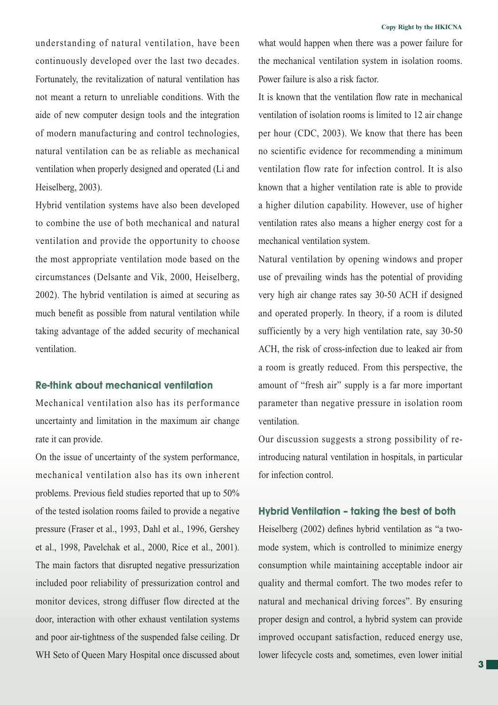understanding of natural ventilation, have been continuously developed over the last two decades. Fortunately, the revitalization of natural ventilation has not meant a return to unreliable conditions. With the aide of new computer design tools and the integration of modern manufacturing and control technologies, natural ventilation can be as reliable as mechanical ventilation when properly designed and operated (Li and Heiselberg, 2003).

Hybrid ventilation systems have also been developed to combine the use of both mechanical and natural ventilation and provide the opportunity to choose the most appropriate ventilation mode based on the circumstances (Delsante and Vik, 2000, Heiselberg, 2002). The hybrid ventilation is aimed at securing as much benefit as possible from natural ventilation while taking advantage of the added security of mechanical ventilation.

#### **Re-think about mechanical ventilation**

Mechanical ventilation also has its performance uncertainty and limitation in the maximum air change rate it can provide.

On the issue of uncertainty of the system performance, mechanical ventilation also has its own inherent problems. Previous field studies reported that up to 50% of the tested isolation rooms failed to provide a negative pressure (Fraser et al., 1993, Dahl et al., 1996, Gershey et al., 1998, Pavelchak et al., 2000, Rice et al., 2001). The main factors that disrupted negative pressurization included poor reliability of pressurization control and monitor devices, strong diffuser flow directed at the door, interaction with other exhaust ventilation systems and poor air-tightness of the suspended false ceiling. Dr WH Seto of Queen Mary Hospital once discussed about

what would happen when there was a power failure for the mechanical ventilation system in isolation rooms. Power failure is also a risk factor.

It is known that the ventilation flow rate in mechanical ventilation of isolation rooms is limited to 12 air change per hour (CDC, 2003). We know that there has been no scientific evidence for recommending a minimum ventilation flow rate for infection control. It is also known that a higher ventilation rate is able to provide a higher dilution capability. However, use of higher ventilation rates also means a higher energy cost for a mechanical ventilation system.

Natural ventilation by opening windows and proper use of prevailing winds has the potential of providing very high air change rates say 30-50 ACH if designed and operated properly. In theory, if a room is diluted sufficiently by a very high ventilation rate, say 30-50 ACH, the risk of cross-infection due to leaked air from a room is greatly reduced. From this perspective, the amount of "fresh air" supply is a far more important parameter than negative pressure in isolation room ventilation.

Our discussion suggests a strong possibility of reintroducing natural ventilation in hospitals, in particular for infection control.

#### **Hybrid Ventilation – taking the best of both**

Heiselberg (2002) defines hybrid ventilation as "a twomode system, which is controlled to minimize energy consumption while maintaining acceptable indoor air quality and thermal comfort. The two modes refer to natural and mechanical driving forces". By ensuring proper design and control, a hybrid system can provide improved occupant satisfaction, reduced energy use, lower lifecycle costs and, sometimes, even lower initial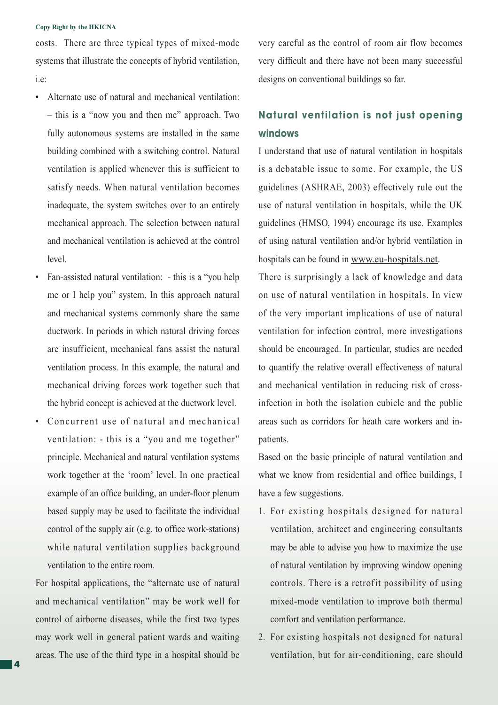#### **Copy Right by the HKICNA**

costs. There are three typical types of mixed-mode systems that illustrate the concepts of hybrid ventilation, i.e:

- Alternate use of natural and mechanical ventilation: – this is a "now you and then me" approach. Two fully autonomous systems are installed in the same building combined with a switching control. Natural ventilation is applied whenever this is sufficient to satisfy needs. When natural ventilation becomes inadequate, the system switches over to an entirely mechanical approach. The selection between natural and mechanical ventilation is achieved at the control level.
- Fan-assisted natural ventilation: this is a "you help me or I help you" system. In this approach natural and mechanical systems commonly share the same ductwork. In periods in which natural driving forces are insufficient, mechanical fans assist the natural ventilation process. In this example, the natural and mechanical driving forces work together such that the hybrid concept is achieved at the ductwork level.
- Concurrent use of natural and mechanical ventilation: - this is a "you and me together" principle. Mechanical and natural ventilation systems work together at the 'room' level. In one practical example of an office building, an under-floor plenum based supply may be used to facilitate the individual control of the supply air (e.g. to office work-stations) while natural ventilation supplies background ventilation to the entire room.

For hospital applications, the "alternate use of natural and mechanical ventilation" may be work well for control of airborne diseases, while the first two types may work well in general patient wards and waiting areas. The use of the third type in a hospital should be

very careful as the control of room air flow becomes very difficult and there have not been many successful designs on conventional buildings so far.

# **Natural ventilation is not just opening windows**

I understand that use of natural ventilation in hospitals is a debatable issue to some. For example, the US guidelines (ASHRAE, 2003) effectively rule out the use of natural ventilation in hospitals, while the UK guidelines (HMSO, 1994) encourage its use. Examples of using natural ventilation and/or hybrid ventilation in hospitals can be found in www.eu-hospitals.net.

There is surprisingly a lack of knowledge and data on use of natural ventilation in hospitals. In view of the very important implications of use of natural ventilation for infection control, more investigations should be encouraged. In particular, studies are needed to quantify the relative overall effectiveness of natural and mechanical ventilation in reducing risk of crossinfection in both the isolation cubicle and the public areas such as corridors for heath care workers and inpatients.

Based on the basic principle of natural ventilation and what we know from residential and office buildings, I have a few suggestions.

- 1. For existing hospitals designed for natural ventilation, architect and engineering consultants may be able to advise you how to maximize the use of natural ventilation by improving window opening controls. There is a retrofit possibility of using mixed-mode ventilation to improve both thermal comfort and ventilation performance.
- 2. For existing hospitals not designed for natural ventilation, but for air-conditioning, care should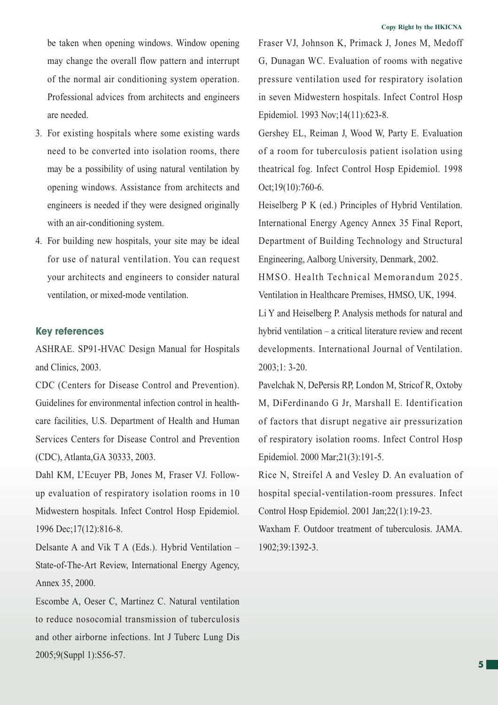be taken when opening windows. Window opening may change the overall flow pattern and interrupt of the normal air conditioning system operation. Professional advices from architects and engineers are needed.

- 3. For existing hospitals where some existing wards need to be converted into isolation rooms, there may be a possibility of using natural ventilation by opening windows. Assistance from architects and engineers is needed if they were designed originally with an air-conditioning system.
- 4. For building new hospitals, your site may be ideal for use of natural ventilation. You can request your architects and engineers to consider natural ventilation, or mixed-mode ventilation.

#### **Key references**

ASHRAE. SP91-HVAC Design Manual for Hospitals and Clinics, 2003.

CDC (Centers for Disease Control and Prevention). Guidelines for environmental infection control in healthcare facilities, U.S. Department of Health and Human Services Centers for Disease Control and Prevention (CDC), Atlanta,GA 30333, 2003.

Dahl KM, L'Ecuyer PB, Jones M, Fraser VJ. Followup evaluation of respiratory isolation rooms in 10 Midwestern hospitals. Infect Control Hosp Epidemiol. 1996 Dec;17(12):816-8.

Delsante A and Vik T A (Eds.). Hybrid Ventilation – State-of-The-Art Review, International Energy Agency, Annex 35, 2000.

Escombe A, Oeser C, Martinez C. Natural ventilation to reduce nosocomial transmission of tuberculosis and other airborne infections. Int J Tuberc Lung Dis 2005;9(Suppl 1):S56-57.

Fraser VJ, Johnson K, Primack J, Jones M, Medoff G, Dunagan WC. Evaluation of rooms with negative pressure ventilation used for respiratory isolation in seven Midwestern hospitals. Infect Control Hosp Epidemiol. 1993 Nov;14(11):623-8.

Gershey EL, Reiman J, Wood W, Party E. Evaluation of a room for tuberculosis patient isolation using theatrical fog. Infect Control Hosp Epidemiol. 1998 Oct;19(10):760-6.

Heiselberg P K (ed.) Principles of Hybrid Ventilation. International Energy Agency Annex 35 Final Report, Department of Building Technology and Structural Engineering, Aalborg University, Denmark, 2002.

HMSO. Health Technical Memorandum 2025. Ventilation in Healthcare Premises, HMSO, UK, 1994.

Li Y and Heiselberg P. Analysis methods for natural and hybrid ventilation – a critical literature review and recent developments. International Journal of Ventilation. 2003;1: 3-20.

Pavelchak N, DePersis RP, London M, Stricof R, Oxtoby M, DiFerdinando G Jr, Marshall E. Identification of factors that disrupt negative air pressurization of respiratory isolation rooms. Infect Control Hosp Epidemiol. 2000 Mar;21(3):191-5.

Rice N, Streifel A and Vesley D. An evaluation of hospital special-ventilation-room pressures. Infect Control Hosp Epidemiol. 2001 Jan;22(1):19-23.

Waxham F. Outdoor treatment of tuberculosis. JAMA. 1902;39:1392-3.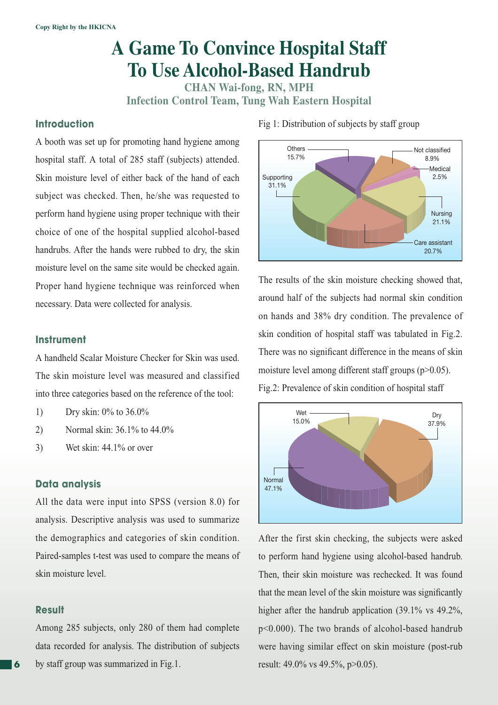# **A Game To Convince Hospital Staff To Use Alcohol-Based Handrub**

**CHAN Wai-fong, RN, MPH Infection Control Team, Tung Wah Eastern Hospital**

### **Introduction**

A booth was set up for promoting hand hygiene among hospital staff. A total of 285 staff (subjects) attended. Skin moisture level of either back of the hand of each subject was checked. Then, he/she was requested to perform hand hygiene using proper technique with their choice of one of the hospital supplied alcohol-based handrubs. After the hands were rubbed to dry, the skin moisture level on the same site would be checked again. Proper hand hygiene technique was reinforced when necessary. Data were collected for analysis.

#### **Instrument**

A handheld Scalar Moisture Checker for Skin was used. The skin moisture level was measured and classified into three categories based on the reference of the tool:

- 1) Dry skin: 0% to 36.0%
- 2) Normal skin: 36.1% to 44.0%
- 3) Wet skin: 44.1% or over

### **Data analysis**

All the data were input into SPSS (version 8.0) for analysis. Descriptive analysis was used to summarize the demographics and categories of skin condition. Paired-samples t-test was used to compare the means of skin moisture level.

#### **Result**

Among 285 subjects, only 280 of them had complete data recorded for analysis. The distribution of subjects by staff group was summarized in Fig.1.

**Others** 15.7% Not classified 8.9% **Medical** 2.5% Nursing 21.1% Care assistant 20.7% Supporting 31.1%

The results of the skin moisture checking showed that, around half of the subjects had normal skin condition on hands and 38% dry condition. The prevalence of skin condition of hospital staff was tabulated in Fig.2. There was no significant difference in the means of skin moisture level among different staff groups (p>0.05). Fig.2: Prevalence of skin condition of hospital staff



After the first skin checking, the subjects were asked to perform hand hygiene using alcohol-based handrub. Then, their skin moisture was rechecked. It was found that the mean level of the skin moisture was significantly higher after the handrub application (39.1% vs 49.2%, p<0.000). The two brands of alcohol-based handrub were having similar effect on skin moisture (post-rub result: 49.0% vs 49.5%, p>0.05).

Fig 1: Distribution of subjects by staff group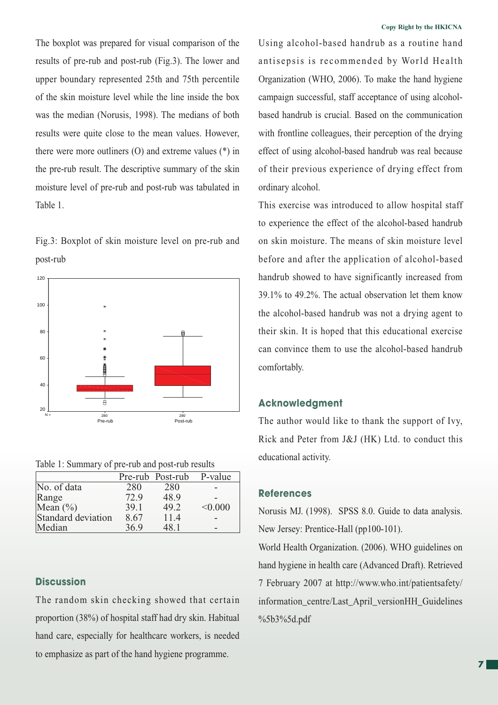The boxplot was prepared for visual comparison of the results of pre-rub and post-rub (Fig.3). The lower and upper boundary represented 25th and 75th percentile of the skin moisture level while the line inside the box was the median (Norusis, 1998). The medians of both results were quite close to the mean values. However, there were more outliners (O) and extreme values (\*) in the pre-rub result. The descriptive summary of the skin moisture level of pre-rub and post-rub was tabulated in Table 1.

Fig.3: Boxplot of skin moisture level on pre-rub and post-rub



Table 1: Summary of pre-rub and post-rub results

|                    |      | Pre-rub Post-rub | P-value |
|--------------------|------|------------------|---------|
| No. of data        | 280  | 280              |         |
| Range              | 72.9 | 48.9             |         |
| Mean $(\% )$       | 39.1 | 49.2             | < 0.000 |
| Standard deviation | 8.67 | 11.4             |         |
| Median             | 36.9 | 48.1             |         |

### **Discussion**

The random skin checking showed that certain proportion (38%) of hospital staff had dry skin. Habitual hand care, especially for healthcare workers, is needed to emphasize as part of the hand hygiene programme.

Using alcohol-based handrub as a routine hand antisepsis is recommended by World Health Organization (WHO, 2006). To make the hand hygiene campaign successful, staff acceptance of using alcoholbased handrub is crucial. Based on the communication with frontline colleagues, their perception of the drying effect of using alcohol-based handrub was real because of their previous experience of drying effect from ordinary alcohol.

This exercise was introduced to allow hospital staff to experience the effect of the alcohol-based handrub on skin moisture. The means of skin moisture level before and after the application of alcohol-based handrub showed to have significantly increased from 39.1% to 49.2%. The actual observation let them know the alcohol-based handrub was not a drying agent to their skin. It is hoped that this educational exercise can convince them to use the alcohol-based handrub comfortably.

#### **Acknowledgment**

The author would like to thank the support of Ivy, Rick and Peter from J&J (HK) Ltd. to conduct this educational activity.

#### **References**

Norusis MJ. (1998). SPSS 8.0. Guide to data analysis. New Jersey: Prentice-Hall (pp100-101).

World Health Organization. (2006). WHO guidelines on hand hygiene in health care (Advanced Draft). Retrieved 7 February 2007 at http://www.who.int/patientsafety/ information\_centre/Last\_April\_versionHH\_Guidelines %5b3%5d.pdf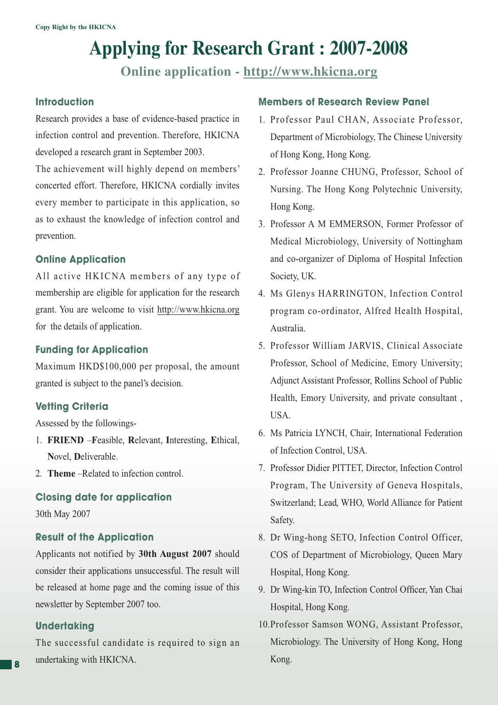# **Applying for Research Grant : 2007-2008**

**Online application - http://www.hkicna.org**

### **Introduction**

Research provides a base of evidence-based practice in infection control and prevention. Therefore, HKICNA developed a research grant in September 2003.

The achievement will highly depend on members' concerted effort. Therefore, HKICNA cordially invites every member to participate in this application, so as to exhaust the knowledge of infection control and prevention.

# **Online Application**

All active HKICNA members of any type of membership are eligible for application for the research grant. You are welcome to visit http://www.hkicna.org for the details of application.

# **Funding for Application**

Maximum HKD\$100,000 per proposal, the amount granted is subject to the panel's decision.

# **Vetting Criteria**

Assessed by the followings-

- 1. **FRIEND** –**F**easible, **R**elevant, **I**nteresting, **E**thical, **N**ovel, **D**eliverable.
- 2. **Theme** –Related to infection control.

# **Closing date for application**

30th May 2007

# **Result of the Application**

Applicants not notified by **30th August 2007** should consider their applications unsuccessful. The result will be released at home page and the coming issue of this newsletter by September 2007 too.

#### **Undertaking**

The successful candidate is required to sign an undertaking with HKICNA.

#### **Members of Research Review Panel**

- 1. Professor Paul CHAN, Associate Professor, Department of Microbiology, The Chinese University of Hong Kong, Hong Kong.
- 2. Professor Joanne CHUNG, Professor, School of Nursing. The Hong Kong Polytechnic University, Hong Kong.
- 3. Professor A M EMMERSON, Former Professor of Medical Microbiology, University of Nottingham and co-organizer of Diploma of Hospital Infection Society, UK.
- 4. Ms Glenys HARRINGTON, Infection Control program co-ordinator, Alfred Health Hospital, Australia.
- 5. Professor William JARVIS, Clinical Associate Professor, School of Medicine, Emory University; Adjunct Assistant Professor, Rollins School of Public Health, Emory University, and private consultant , USA.
- 6. Ms Patricia LYNCH, Chair, International Federation of Infection Control, USA.
- 7. Professor Didier PITTET, Director, Infection Control Program, The University of Geneva Hospitals, Switzerland; Lead, WHO, World Alliance for Patient Safety.
- 8. Dr Wing-hong SETO, Infection Control Officer, COS of Department of Microbiology, Queen Mary Hospital, Hong Kong.
- 9. Dr Wing-kin TO, Infection Control Officer, Yan Chai Hospital, Hong Kong.
- 10. Professor Samson WONG, Assistant Professor, Microbiology. The University of Hong Kong, Hong Kong.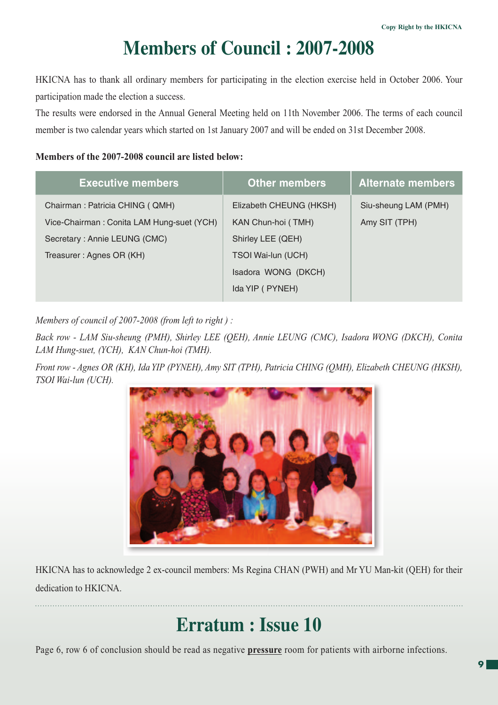# **Members of Council : 2007-2008**

HKICNA has to thank all ordinary members for participating in the election exercise held in October 2006. Your participation made the election a success.

The results were endorsed in the Annual General Meeting held on 11th November 2006. The terms of each council member is two calendar years which started on 1st January 2007 and will be ended on 31st December 2008.

### **Members of the 2007-2008 council are listed below:**

| <b>Executive members</b>                  | <b>Other members</b>    | <b>Alternate members</b> |
|-------------------------------------------|-------------------------|--------------------------|
| Chairman: Patricia CHING (QMH)            | Elizabeth CHEUNG (HKSH) | Siu-sheung LAM (PMH)     |
| Vice-Chairman: Conita LAM Hung-suet (YCH) | KAN Chun-hoi (TMH)      | Amy SIT (TPH)            |
| Secretary: Annie LEUNG (CMC)              | Shirley LEE (QEH)       |                          |
| Treasurer: Agnes OR (KH)                  | TSOI Wai-lun (UCH)      |                          |
|                                           | Isadora WONG (DKCH)     |                          |
|                                           | Ida YIP (PYNEH)         |                          |
|                                           |                         |                          |

*Members of council of 2007-2008 (from left to right ) :* 

*Back row - LAM Siu-sheung (PMH), Shirley LEE (QEH), Annie LEUNG (CMC), Isadora WONG (DKCH), Conita LAM Hung-suet, (YCH), KAN Chun-hoi (TMH).*

*Front row - Agnes OR (KH), Ida YIP (PYNEH), Amy SIT (TPH), Patricia CHING (QMH), Elizabeth CHEUNG (HKSH), TSOI Wai-lun (UCH).*



HKICNA has to acknowledge 2 ex-council members: Ms Regina CHAN (PWH) and Mr YU Man-kit (QEH) for their dedication to HKICNA.

# **Erratum : Issue 10**

Page 6, row 6 of conclusion should be read as negative **pressure** room for patients with airborne infections.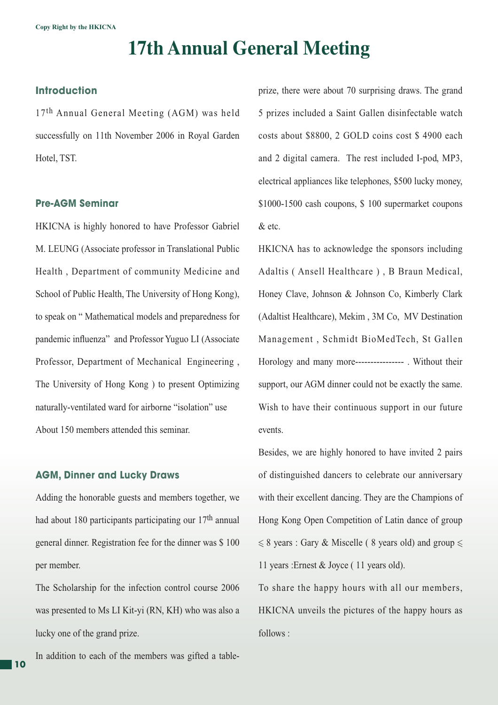# **17th Annual General Meeting**

# **Introduction**

17<sup>th</sup> Annual General Meeting (AGM) was held successfully on 11th November 2006 in Royal Garden Hotel, TST.

#### **Pre-AGM Seminar**

HKICNA is highly honored to have Professor Gabriel M. LEUNG (Associate professor in Translational Public Health , Department of community Medicine and School of Public Health, The University of Hong Kong), to speak on " Mathematical models and preparedness for pandemic influenza" and Professor Yuguo LI (Associate Professor, Department of Mechanical Engineering , The University of Hong Kong ) to present Optimizing naturally-ventilated ward for airborne "isolation" use About 150 members attended this seminar.

#### **AGM, Dinner and Lucky Draws**

Adding the honorable guests and members together, we had about 180 participants participating our 17th annual general dinner. Registration fee for the dinner was \$ 100 per member.

The Scholarship for the infection control course 2006 was presented to Ms LI Kit-yi (RN, KH) who was also a lucky one of the grand prize.

In addition to each of the members was gifted a table-

prize, there were about 70 surprising draws. The grand 5 prizes included a Saint Gallen disinfectable watch costs about \$8800, 2 GOLD coins cost \$ 4900 each and 2 digital camera. The rest included I-pod, MP3, electrical appliances like telephones, \$500 lucky money, \$1000-1500 cash coupons, \$ 100 supermarket coupons & etc.

HKICNA has to acknowledge the sponsors including Adaltis ( Ansell Healthcare ) , B Braun Medical, Honey Clave, Johnson & Johnson Co, Kimberly Clark (Adaltist Healthcare), Mekim , 3M Co, MV Destination Management , Schmidt BioMedTech, St Gallen Horology and many more---------------- . Without their support, our AGM dinner could not be exactly the same. Wish to have their continuous support in our future events.

Besides, we are highly honored to have invited 2 pairs of distinguished dancers to celebrate our anniversary with their excellent dancing. They are the Champions of Hong Kong Open Competition of Latin dance of group  $\leq 8$  years : Gary & Miscelle (8 years old) and group  $\leq$ 11 years :Ernest & Joyce ( 11 years old).

To share the happy hours with all our members, HKICNA unveils the pictures of the happy hours as follows :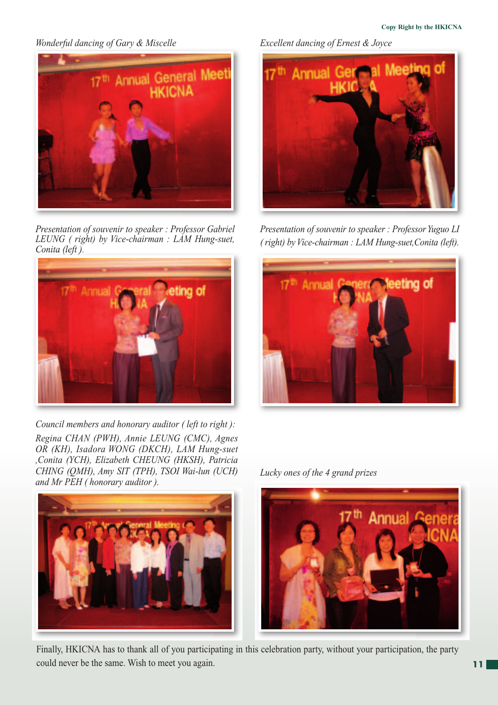*Wonderful dancing of Gary & Miscelle* 



*Presentation of souvenir to speaker : Professor Gabriel LEUNG ( right) by Vice-chairman : LAM Hung-suet, Conita (left ).* 



*Council members and honorary auditor ( left to right ): Regina CHAN (PWH), Annie LEUNG (CMC), Agnes OR (KH), Isadora WONG (DKCH), LAM Hung-suet ,Conita (YCH), Elizabeth CHEUNG (HKSH), Patricia CHING (QMH), Amy SIT (TPH), TSOI Wai-lun (UCH) and Mr PEH ( honorary auditor ).*



*Excellent dancing of Ernest & Joyce*



*Presentation of souvenir to speaker : Professor Yuguo LI ( right) by Vice-chairman : LAM Hung-suet,Conita (left).*



*Lucky ones of the 4 grand prizes* 



Finally, HKICNA has to thank all of you participating in this celebration party, without your participation, the party could never be the same. Wish to meet you again.